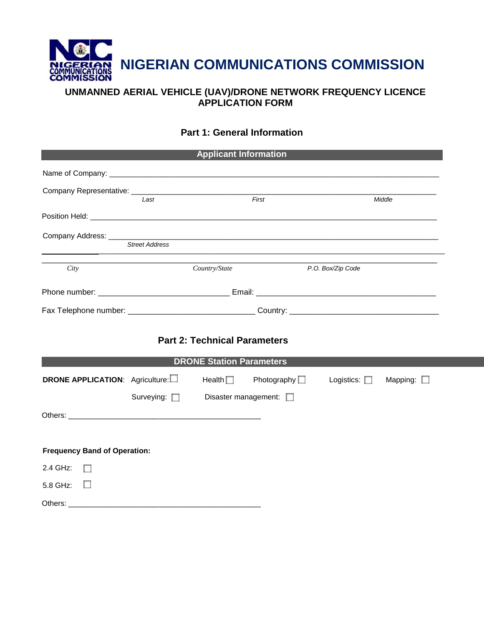

### **UNMANNED AERIAL VEHICLE (UAV)/DRONE NETWORK FREQUENCY LICENCE APPLICATION FORM**

### **Part 1: General Information**

|                                               |                                                                 | <b>Applicant Information</b>                                           |                       |                      |                    |
|-----------------------------------------------|-----------------------------------------------------------------|------------------------------------------------------------------------|-----------------------|----------------------|--------------------|
|                                               |                                                                 |                                                                        |                       |                      |                    |
|                                               | Last                                                            |                                                                        | First                 |                      | Middle             |
|                                               |                                                                 |                                                                        |                       |                      |                    |
|                                               | <b>Street Address</b>                                           |                                                                        |                       |                      |                    |
| City                                          | the contract of the contract of the contract of the contract of | Country/State                                                          |                       | P.O. Box/Zip Code    |                    |
|                                               |                                                                 |                                                                        |                       |                      |                    |
|                                               |                                                                 |                                                                        |                       |                      |                    |
|                                               |                                                                 | <b>Part 2: Technical Parameters</b><br><b>DRONE Station Parameters</b> |                       |                      |                    |
| <b>DRONE APPLICATION:</b> Agriculture: $\Box$ |                                                                 | Health $\Box$                                                          | Photography $\square$ | Logistics: $\square$ | Mapping: $\square$ |
|                                               | Surveying: $\Box$                                               |                                                                        | Disaster management:  |                      |                    |
|                                               |                                                                 |                                                                        |                       |                      |                    |
|                                               |                                                                 |                                                                        |                       |                      |                    |
| <b>Frequency Band of Operation:</b>           |                                                                 |                                                                        |                       |                      |                    |
| 2.4 GHz:                                      |                                                                 |                                                                        |                       |                      |                    |
| 5.8 GHz: $\square$                            |                                                                 |                                                                        |                       |                      |                    |
|                                               |                                                                 |                                                                        |                       |                      |                    |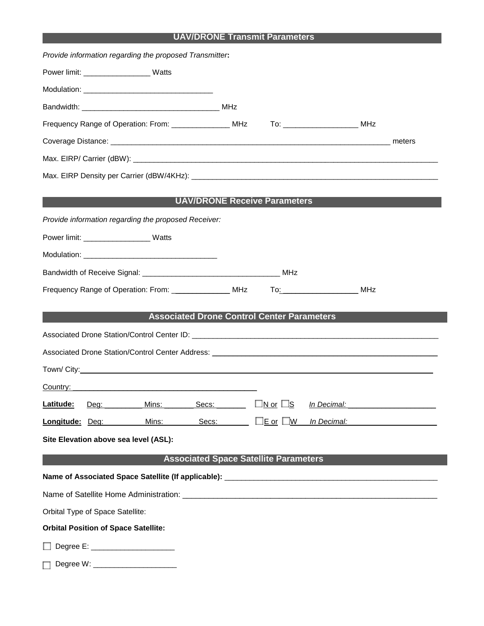## **UAV/DRONE Transmit Parameters**

|                 |                                             | Provide information regarding the proposed Transmitter:                                                                                                                                                                        |       |                                                   |                                                                                                                                                                                                                                |  |
|-----------------|---------------------------------------------|--------------------------------------------------------------------------------------------------------------------------------------------------------------------------------------------------------------------------------|-------|---------------------------------------------------|--------------------------------------------------------------------------------------------------------------------------------------------------------------------------------------------------------------------------------|--|
|                 | Power limit: ____________________ Watts     |                                                                                                                                                                                                                                |       |                                                   |                                                                                                                                                                                                                                |  |
|                 |                                             |                                                                                                                                                                                                                                |       |                                                   |                                                                                                                                                                                                                                |  |
|                 |                                             |                                                                                                                                                                                                                                |       |                                                   |                                                                                                                                                                                                                                |  |
|                 |                                             |                                                                                                                                                                                                                                |       |                                                   | Frequency Range of Operation: From: ________________ MHz To: ___________________ MHz                                                                                                                                           |  |
|                 |                                             |                                                                                                                                                                                                                                |       |                                                   |                                                                                                                                                                                                                                |  |
|                 |                                             |                                                                                                                                                                                                                                |       |                                                   |                                                                                                                                                                                                                                |  |
|                 |                                             |                                                                                                                                                                                                                                |       |                                                   |                                                                                                                                                                                                                                |  |
|                 |                                             |                                                                                                                                                                                                                                |       | <b>UAV/DRONE Receive Parameters</b>               |                                                                                                                                                                                                                                |  |
|                 |                                             | Provide information regarding the proposed Receiver:                                                                                                                                                                           |       |                                                   |                                                                                                                                                                                                                                |  |
|                 | Power limit: Watts                          |                                                                                                                                                                                                                                |       |                                                   |                                                                                                                                                                                                                                |  |
|                 |                                             | Modulation: New York Street, New York Street, New York Street, New York Street, New York Street, New York Street, New York Street, New York Street, New York Street, New York Street, New York Street, New York Street, New Yo |       |                                                   |                                                                                                                                                                                                                                |  |
|                 |                                             |                                                                                                                                                                                                                                |       |                                                   |                                                                                                                                                                                                                                |  |
|                 |                                             | Frequency Range of Operation: From: __________________ MHz                                                                                                                                                                     |       |                                                   | To <u>: MHz</u>                                                                                                                                                                                                                |  |
|                 |                                             |                                                                                                                                                                                                                                |       |                                                   |                                                                                                                                                                                                                                |  |
|                 |                                             |                                                                                                                                                                                                                                |       | <b>Associated Drone Control Center Parameters</b> |                                                                                                                                                                                                                                |  |
|                 |                                             |                                                                                                                                                                                                                                |       |                                                   | Associated Drone Station/Control Center ID: \\control \\control\\control\\control\\control\\control\\control\\control\\control\\control\\control\\control\\control\\control\\control\\control\\control\\control\\control\\cont |  |
|                 |                                             |                                                                                                                                                                                                                                |       |                                                   | Associated Drone Station/Control Center Address: ________________________________                                                                                                                                              |  |
|                 |                                             |                                                                                                                                                                                                                                |       |                                                   |                                                                                                                                                                                                                                |  |
|                 |                                             |                                                                                                                                                                                                                                |       |                                                   |                                                                                                                                                                                                                                |  |
|                 |                                             | Country: Country:                                                                                                                                                                                                              |       |                                                   |                                                                                                                                                                                                                                |  |
| Latitude:       | Deg:                                        | Mins:                                                                                                                                                                                                                          | Secs: | <u>lN or</u> □ <u>S</u>                           | In Decimal:                                                                                                                                                                                                                    |  |
| Longitude: Deg: |                                             | Mins:                                                                                                                                                                                                                          | Secs: | $\square$ E or $\square$ W                        | In Decimal:                                                                                                                                                                                                                    |  |
|                 | Site Elevation above sea level (ASL):       |                                                                                                                                                                                                                                |       |                                                   |                                                                                                                                                                                                                                |  |
|                 |                                             |                                                                                                                                                                                                                                |       | <b>Associated Space Satellite Parameters</b>      |                                                                                                                                                                                                                                |  |
|                 |                                             |                                                                                                                                                                                                                                |       |                                                   |                                                                                                                                                                                                                                |  |
|                 |                                             |                                                                                                                                                                                                                                |       |                                                   |                                                                                                                                                                                                                                |  |
|                 | Orbital Type of Space Satellite:            |                                                                                                                                                                                                                                |       |                                                   |                                                                                                                                                                                                                                |  |
|                 | <b>Orbital Position of Space Satellite:</b> |                                                                                                                                                                                                                                |       |                                                   |                                                                                                                                                                                                                                |  |
|                 | Degree E: ______________________            |                                                                                                                                                                                                                                |       |                                                   |                                                                                                                                                                                                                                |  |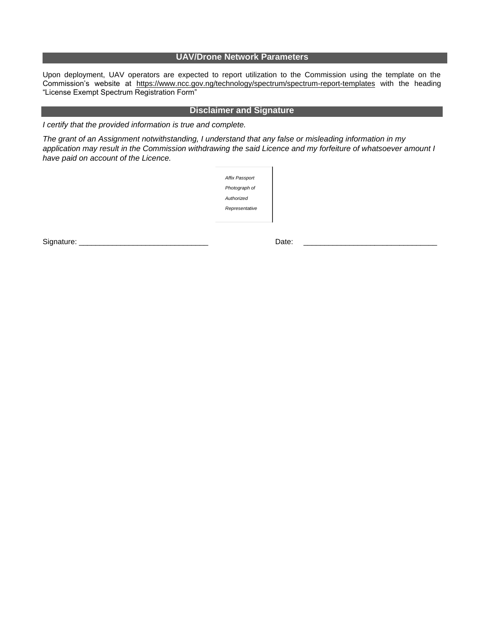#### **UAV/Drone Network Parameters**

Upon deployment, UAV operators are expected to report utilization to the Commission using the template on the Commission's website at <https://www.ncc.gov.ng/technology/spectrum/spectrum-report-templates> with the heading "License Exempt Spectrum Registration Form"

#### **Disclaimer and Signature**

*I certify that the provided information is true and complete.*

*The grant of an Assignment notwithstanding, I understand that any false or misleading information in my application may result in the Commission withdrawing the said Licence and my forfeiture of whatsoever amount I have paid on account of the Licence.*

| Affix Passport |
|----------------|
| Photograph of  |
| Authorized     |
| Representative |
|                |

Signature: \_\_\_\_\_\_\_\_\_\_\_\_\_\_\_\_\_\_\_\_\_\_\_\_\_\_\_\_\_\_\_ Date: \_\_\_\_\_\_\_\_\_\_\_\_\_\_\_\_\_\_\_\_\_\_\_\_\_\_\_\_\_\_\_\_